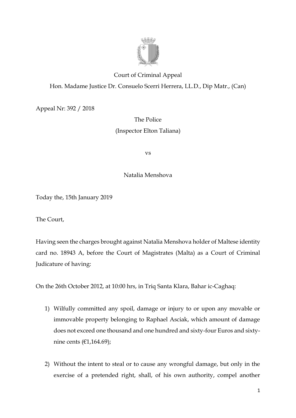

## Court of Criminal Appeal Hon. Madame Justice Dr. Consuelo Scerri Herrera, LL.D., Dip Matr., (Can)

Appeal Nr: 392 / 2018

## The Police (Inspector Elton Taliana)

vs

Natalia Menshova

Today the, 15th January 2019

The Court,

Having seen the charges brought against Natalia Menshova holder of Maltese identity card no. 18943 A, before the Court of Magistrates (Malta) as a Court of Criminal Judicature of having:

On the 26th October 2012, at 10:00 hrs, in Triq Santa Klara, Bahar ic-Caghaq:

- 1) Wilfully committed any spoil, damage or injury to or upon any movable or immovable property belonging to Raphael Asciak, which amount of damage does not exceed one thousand and one hundred and sixty-four Euros and sixtynine cents (€1,164.69);
- 2) Without the intent to steal or to cause any wrongful damage, but only in the exercise of a pretended right, shall, of his own authority, compel another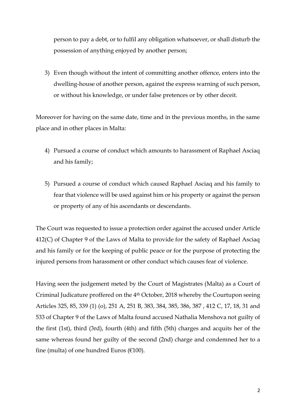person to pay a debt, or to fulfil any obligation whatsoever, or shall disturb the possession of anything enjoyed by another person;

3) Even though without the intent of committing another offence, enters into the dwelling-house of another person, against the express warning of such person, or without his knowledge, or under false pretences or by other deceit.

Moreover for having on the same date, time and in the previous months, in the same place and in other places in Malta:

- 4) Pursued a course of conduct which amounts to harassment of Raphael Asciaq and his family;
- 5) Pursued a course of conduct which caused Raphael Asciaq and his family to fear that violence will be used against him or his property or against the person or property of any of his ascendants or descendants.

The Court was requested to issue a protection order against the accused under Article 412(C) of Chapter 9 of the Laws of Malta to provide for the safety of Raphael Asciaq and his family or for the keeping of public peace or for the purpose of protecting the injured persons from harassment or other conduct which causes fear of violence.

Having seen the judgement meted by the Court of Magistrates (Malta) as a Court of Criminal Judicature proffered on the 4<sup>th</sup> October, 2018 whereby the Courtupon seeing Articles 325, 85, 339 (1) (o), 251 A, 251 B, 383, 384, 385, 386, 387 , 412 C, 17, 18, 31 and 533 of Chapter 9 of the Laws of Malta found accused Nathalia Menshova not guilty of the first (1st), third (3rd), fourth (4th) and fifth (5th) charges and acquits her of the same whereas found her guilty of the second (2nd) charge and condemned her to a fine (multa) of one hundred Euros ( $€100$ ).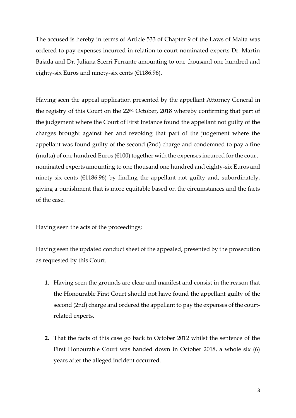The accused is hereby in terms of Article 533 of Chapter 9 of the Laws of Malta was ordered to pay expenses incurred in relation to court nominated experts Dr. Martin Bajada and Dr. Juliana Scerri Ferrante amounting to one thousand one hundred and eighty-six Euros and ninety-six cents (€1186.96).

Having seen the appeal application presented by the appellant Attorney General in the registry of this Court on the 22nd October, 2018 whereby confirming that part of the judgement where the Court of First Instance found the appellant not guilty of the charges brought against her and revoking that part of the judgement where the appellant was found guilty of the second (2nd) charge and condemned to pay a fine (multa) of one hundred Euros ( $E100$ ) together with the expenses incurred for the courtnominated experts amounting to one thousand one hundred and eighty-six Euros and ninety-six cents ( $E1186.96$ ) by finding the appellant not guilty and, subordinately, giving a punishment that is more equitable based on the circumstances and the facts of the case.

Having seen the acts of the proceedings;

Having seen the updated conduct sheet of the appealed, presented by the prosecution as requested by this Court.

- **1.** Having seen the grounds are clear and manifest and consist in the reason that the Honourable First Court should not have found the appellant guilty of the second (2nd) charge and ordered the appellant to pay the expenses of the courtrelated experts.
- **2.** That the facts of this case go back to October 2012 whilst the sentence of the First Honourable Court was handed down in October 2018, a whole six (6) years after the alleged incident occurred.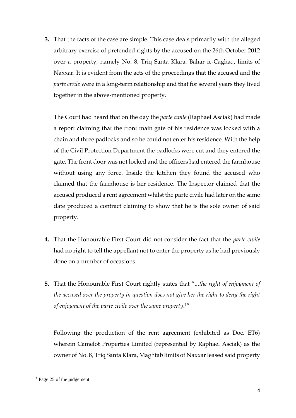**3.** That the facts of the case are simple. This case deals primarily with the alleged arbitrary exercise of pretended rights by the accused on the 26th October 2012 over a property, namely No. 8, Triq Santa Klara, Bahar ic-Caghaq, limits of Naxxar. It is evident from the acts of the proceedings that the accused and the *parte civile* were in a long-term relationship and that for several years they lived together in the above-mentioned property.

The Court had heard that on the day the *parte civile* (Raphael Asciak) had made a report claiming that the front main gate of his residence was locked with a chain and three padlocks and so he could not enter his residence. With the help of the Civil Protection Department the padlocks were cut and they entered the gate. The front door was not locked and the officers had entered the farmhouse without using any force. Inside the kitchen they found the accused who claimed that the farmhouse is her residence. The Inspector claimed that the accused produced a rent agreement whilst the parte civile had later on the same date produced a contract claiming to show that he is the sole owner of said property.

- **4.** That the Honourable First Court did not consider the fact that the *parte civile* had no right to tell the appellant not to enter the property as he had previously done on a number of occasions.
- **5.** That the Honourable First Court rightly states that "...*the right of enjoyment of the accused over the property in question does not give her the right to deny the right of enjoyment of the parte civile over the same property*. 1"

Following the production of the rent agreement (exhibited as Doc. ET6) wherein Camelot Properties Limited (represented by Raphael Asciak) as the owner of No. 8, Triq Santa Klara, Maghtab limits of Naxxar leased said property

**.** 

<sup>&</sup>lt;sup>1</sup> Page 25 of the judgement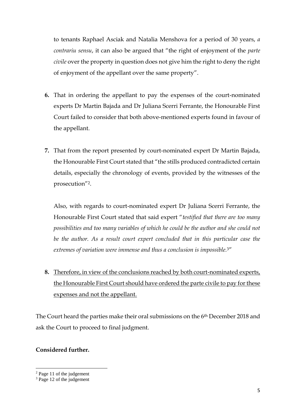to tenants Raphael Asciak and Natalia Menshova for a period of 30 years, *a contrariu sensu*, it can also be argued that "the right of enjoyment of the *parte civile* over the property in question does not give him the right to deny the right of enjoyment of the appellant over the same property".

- **6.** That in ordering the appellant to pay the expenses of the court-nominated experts Dr Martin Bajada and Dr Juliana Scerri Ferrante, the Honourable First Court failed to consider that both above-mentioned experts found in favour of the appellant.
- **7.** That from the report presented by court-nominated expert Dr Martin Bajada, the Honourable First Court stated that "the stills produced contradicted certain details, especially the chronology of events, provided by the witnesses of the prosecution"2.

Also, with regards to court-nominated expert Dr Juliana Scerri Ferrante, the Honourable First Court stated that said expert "*testified that there are too many possibilities and too many variables of which he could be the author and she could not be the author. As a result court expert concluded that in this particular case the extremes of variation were immense and thus a conclusion is impossible.*3"

**8.** Therefore, in view of the conclusions reached by both court-nominated experts, the Honourable First Court should have ordered the parte civile to pay for these expenses and not the appellant.

The Court heard the parties make their oral submissions on the 6th December 2018 and ask the Court to proceed to final judgment.

## **Considered further.**

1

<sup>2</sup> Page 11 of the judgement

<sup>&</sup>lt;sup>3</sup> Page 12 of the judgement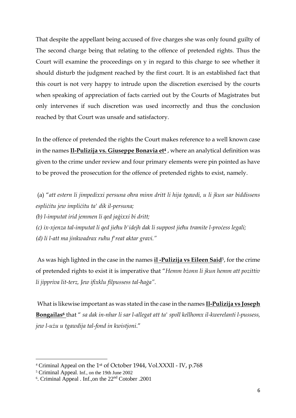That despite the appellant being accused of five charges she was only found guilty of The second charge being that relating to the offence of pretended rights. Thus the Court will examine the proceedings on y in regard to this charge to see whether it should disturb the judgment reached by the first court. It is an established fact that this court is not very happy to intrude upon the discretion exercised by the courts when speaking of appreciation of facts carried out by the Courts of Magistrates but only intervenes if such discretion was used incorrectly and thus the conclusion reached by that Court was unsafe and satisfactory.

In the offence of pretended the rights the Court makes reference to a well known case in the names **Il-Pulizija vs. Giuseppe Bonavia et<sup>4</sup>** , where an analytical definition was given to the crime under review and four primary elements were pin pointed as have to be proved the prosecution for the offence of pretended rights to exist, namely.

(a) "*att estern li jimpedixxi persuna oħra minn dritt li hija tgawdi, u li jkun sar biddissens espliċitu jew impliċitu ta' dik il-persuna; (b) l-imputat irid jemmen li qed jaġixxi bi dritt; (c) ix-xjenza tal-imputat li qed jieħu b'idejh dak li suppost jieħu tramite l-proċess legali; (d) li l-att ma jinkwadrax ruħu f'reat aktar gravi."*

As was high lighted in the case in the names **il -Pulizija vs Eileen Said**5, for the crime of pretended rights to exist it is imperative that "*Hemm bżonn li jkun hemm att pozittiv li jippriva lit-terz, Jew ifixklu filpussess tal-ħaġa".*

What is likewise important as was stated in the case in the names **Il-Pulizija vs Joseph Bongailas<sup>6</sup>** that " *sa dak in-nhar li sar l-allegat att ta' spoll kellhomx il-kwerelanti l-pussess, jew l-użu u tgawdija tal-fond in kwistjoni*."

1

<sup>4</sup> Criminal Appeal on the 1st of October 1944, Vol.XXXll - IV, p.768

<sup>5</sup> Criminal Appeal. Inf., on the 19th June 2002

<sup>&</sup>lt;sup>6</sup>. Criminal Appeal . Inf.,on the  $22<sup>nd</sup>$  Cotober .2001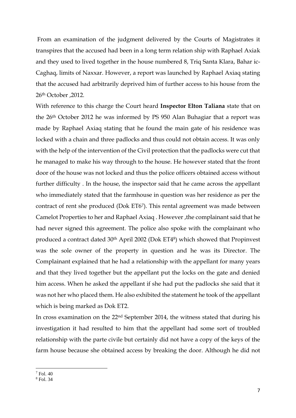From an examination of the judgment delivered by the Courts of Magistrates it transpires that the accused had been in a long term relation ship with Raphael Axiak and they used to lived together in the house numbered 8, Triq Santa Klara, Bahar ic-Caghaq, limits of Naxxar. However, a report was launched by Raphael Axiaq stating that the accused had arbitrarily deprived him of further access to his house from the 26th October ,2012.

With reference to this charge the Court heard **Inspector Elton Taliana** state that on the 26th October 2012 he was informed by PS 950 Alan Buhagiar that a report was made by Raphael Axiaq stating that he found the main gate of his residence was locked with a chain and three padlocks and thus could not obtain access. It was only with the help of the intervention of the Civil protection that the padlocks were cut that he managed to make his way through to the house. He however stated that the front door of the house was not locked and thus the police officers obtained access without further difficulty . In the house, the inspector said that he came across the appellant who immediately stated that the farmhouse in question was her residence as per the contract of rent she produced (Dok ET67). This rental agreement was made between Camelot Properties to her and Raphael Axiaq . However ,the complainant said that he had never signed this agreement. The police also spoke with the complainant who produced a contract dated 30<sup>th</sup> April 2002 (Dok ET4<sup>8</sup>) which showed that Propinvest was the sole owner of the property in question and he was its Director. The Complainant explained that he had a relationship with the appellant for many years and that they lived together but the appellant put the locks on the gate and denied him access. When he asked the appellant if she had put the padlocks she said that it was not her who placed them. He also exhibited the statement he took of the appellant which is being marked as Dok ET2.

In cross examination on the 22nd September 2014, the witness stated that during his investigation it had resulted to him that the appellant had some sort of troubled relationship with the parte civile but certainly did not have a copy of the keys of the farm house because she obtained access by breaking the door. Although he did not

<sup>1</sup> <sup>7</sup> Fol. 40

<sup>8</sup> Fol. 34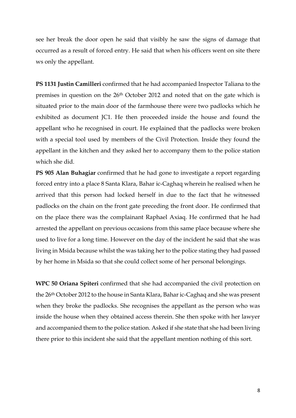see her break the door open he said that visibly he saw the signs of damage that occurred as a result of forced entry. He said that when his officers went on site there ws only the appellant.

**PS 1131 Justin Camilleri** confirmed that he had accompanied Inspector Taliana to the premises in question on the 26th October 2012 and noted that on the gate which is situated prior to the main door of the farmhouse there were two padlocks which he exhibited as document JC1. He then proceeded inside the house and found the appellant who he recognised in court. He explained that the padlocks were broken with a special tool used by members of the Civil Protection. Inside they found the appellant in the kitchen and they asked her to accompany them to the police station which she did.

**PS 905 Alan Buhagiar** confirmed that he had gone to investigate a report regarding forced entry into a place 8 Santa Klara, Bahar ic-Caghaq wherein he realised when he arrived that this person had locked herself in due to the fact that he witnessed padlocks on the chain on the front gate preceding the front door. He confirmed that on the place there was the complainant Raphael Axiaq. He confirmed that he had arrested the appellant on previous occasions from this same place because where she used to live for a long time. However on the day of the incident he said that she was living in Msida because whilst the was taking her to the police stating they had passed by her home in Msida so that she could collect some of her personal belongings.

**WPC 50 Oriana Spiteri** confirmed that she had accompanied the civil protection on the 26th October 2012 to the house in Santa Klara, Bahar ic-Caghaq and she was present when they broke the padlocks. She recognises the appellant as the person who was inside the house when they obtained access therein. She then spoke with her lawyer and accompanied them to the police station. Asked if she state that she had been living there prior to this incident she said that the appellant mention nothing of this sort.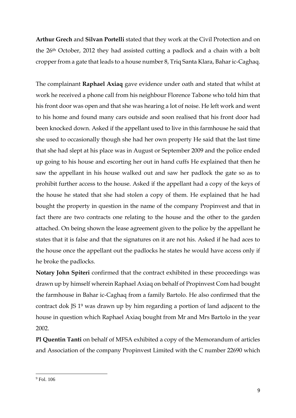**Arthur Grech** and **Silvan Portelli** stated that they work at the Civil Protection and on the 26th October, 2012 they had assisted cutting a padlock and a chain with a bolt cropper from a gate that leads to a house number 8, Triq Santa Klara, Bahar ic-Caghaq.

The complainant **Raphael Axiaq** gave evidence under oath and stated that whilst at work he received a phone call from his neighbour Florence Tabone who told him that his front door was open and that she was hearing a lot of noise. He left work and went to his home and found many cars outside and soon realised that his front door had been knocked down. Asked if the appellant used to live in this farmhouse he said that she used to occasionally though she had her own property He said that the last time that she had slept at his place was in August or September 2009 and the police ended up going to his house and escorting her out in hand cuffs He explained that then he saw the appellant in his house walked out and saw her padlock the gate so as to prohibit further access to the house. Asked if the appellant had a copy of the keys of the house he stated that she had stolen a copy of them. He explained that he had bought the property in question in the name of the company Propinvest and that in fact there are two contracts one relating to the house and the other to the garden attached. On being shown the lease agreement given to the police by the appellant he states that it is false and that the signatures on it are not his. Asked if he had aces to the house once the appellant out the padlocks he states he would have access only if he broke the padlocks.

**Notary John Spiteri** confirmed that the contract exhibited in these proceedings was drawn up by himself wherein Raphael Axiaq on behalf of Propinvest Com had bought the farmhouse in Bahar ic-Caghaq from a family Bartolo. He also confirmed that the contract dok JS 1<sup>9</sup> was drawn up by him regarding a portion of land adjacent to the house in question which Raphael Axiaq bought from Mr and Mrs Bartolo in the year 2002.

**Pl Quentin Tanti** on behalf of MFSA exhibited a copy of the Memorandum of articles and Association of the company Propinvest Limited with the C number 22690 which

**<sup>.</sup>**  $<sup>9</sup>$  Fol. 106</sup>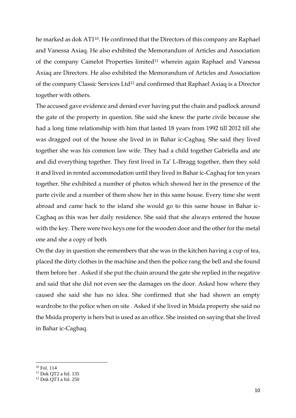he marked as dok AT110. He confirmed that the Directors of this company are Raphael and Vanessa Axiaq. He also exhibited the Memorandum of Articles and Association of the company Camelot Properties limited<sup>11</sup> wherein again Raphael and Vanessa Axiaq are Directors. He also exhibited the Memorandum of Articles and Association of the company Classic Services Ltd<sup>12</sup> and confirmed that Raphael Axiaq is a Director together with others.

The accused gave evidence and denied ever having put the chain and padlock around the gate of the property in question. She said she knew the parte civile because she had a long time relationship with him that lasted 18 years from 1992 till 2012 till she was dragged out of the house she lived in in Bahar ic-Caghaq. She said they lived together she was his common law wife. They had a child together Gabriella and ate and did everything together. They first lived in Ta' L-Ibragg together, then they sold it and lived in rented accommodation until they lived in Bahar ic-Caghaq for ten years together. She exhibited a number of photos which showed her in the presence of the parte civile and a number of them show her in this same house. Every time she went abroad and came back to the island she would go to this same house in Bahar ic-Caghaq as this was her daily residence. She said that she always entered the house with the key. There were two keys one for the wooden door and the other for the metal one and she a copy of both.

On the day in question she remembers that she was in the kitchen having a cup of tea, placed the dirty clothes in the machine and then the police rang the bell and she found them before her . Asked if she put the chain around the gate she replied in the negative and said that she did not even see the damages on the door. Asked how where they caused she said she has no idea. She confirmed that she had shown an empty wardrobe to the police when on site . Asked if she lived in Msida property she said no the Msida property is hers but is used as an office. She insisted on saying that she lived in Bahar ic-Caghaq.

 $\overline{a}$ 

 $10$  Fol. 114

<sup>&</sup>lt;sup>11</sup> Dok QT2 a fol. 135

<sup>12</sup> Dok QT3 a fol. 250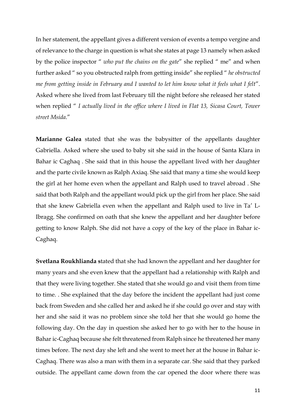In her statement, the appellant gives a different version of events a tempo vergine and of relevance to the charge in question is what she states at page 13 namely when asked by the police inspector " *who put the chains on the gate*" she replied " me" and when further asked " so you obstructed ralph from getting inside" she replied " *he obstructed me from getting inside in February and I wanted to let him know what it feels what I felt*". Asked where she lived from last February till the night before she released her stated when replied " *I actually lived in the office where I lived in Flat 13, Sicasa Court, Tower street Msida*."

**Marianne Galea** stated that she was the babysitter of the appellants daughter Gabriella. Asked where she used to baby sit she said in the house of Santa Klara in Bahar ic Caghaq . She said that in this house the appellant lived with her daughter and the parte civile known as Ralph Axiaq. She said that many a time she would keep the girl at her home even when the appellant and Ralph used to travel abroad . She said that both Ralph and the appellant would pick up the girl from her place. She said that she knew Gabriella even when the appellant and Ralph used to live in Ta' L-Ibragg. She confirmed on oath that she knew the appellant and her daughter before getting to know Ralph. She did not have a copy of the key of the place in Bahar ic-Caghaq.

**Svetlana Roukhlianda s**tated that she had known the appellant and her daughter for many years and she even knew that the appellant had a relationship with Ralph and that they were living together. She stated that she would go and visit them from time to time. . She explained that the day before the incident the appellant had just come back from Sweden and she called her and asked he if she could go over and stay with her and she said it was no problem since she told her that she would go home the following day. On the day in question she asked her to go with her to the house in Bahar ic-Caghaq because she felt threatened from Ralph since he threatened her many times before. The next day she left and she went to meet her at the house in Bahar ic-Caghaq. There was also a man with them in a separate car. She said that they parked outside. The appellant came down from the car opened the door where there was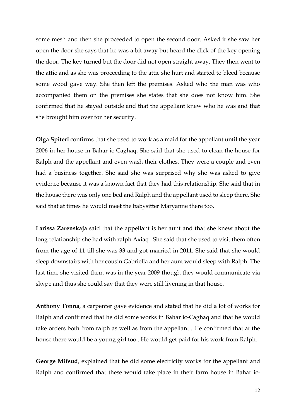some mesh and then she proceeded to open the second door. Asked if she saw her open the door she says that he was a bit away but heard the click of the key opening the door. The key turned but the door did not open straight away. They then went to the attic and as she was proceeding to the attic she hurt and started to bleed because some wood gave way. She then left the premises. Asked who the man was who accompanied them on the premises she states that she does not know him. She confirmed that he stayed outside and that the appellant knew who he was and that she brought him over for her security.

**Olga Spiteri** confirms that she used to work as a maid for the appellant until the year 2006 in her house in Bahar ic-Caghaq. She said that she used to clean the house for Ralph and the appellant and even wash their clothes. They were a couple and even had a business together. She said she was surprised why she was asked to give evidence because it was a known fact that they had this relationship. She said that in the house there was only one bed and Ralph and the appellant used to sleep there. She said that at times he would meet the babysitter Maryanne there too.

**Larissa Zarenskaja** said that the appellant is her aunt and that she knew about the long relationship she had with ralph Axiaq . She said that she used to visit them often from the age of 11 till she was 33 and got married in 2011. She said that she would sleep downstairs with her cousin Gabriella and her aunt would sleep with Ralph. The last time she visited them was in the year 2009 though they would communicate via skype and thus she could say that they were still livening in that house.

**Anthony Tonna**, a carpenter gave evidence and stated that he did a lot of works for Ralph and confirmed that he did some works in Bahar ic-Caghaq and that he would take orders both from ralph as well as from the appellant . He confirmed that at the house there would be a young girl too . He would get paid for his work from Ralph.

**George Mifsud**, explained that he did some electricity works for the appellant and Ralph and confirmed that these would take place in their farm house in Bahar ic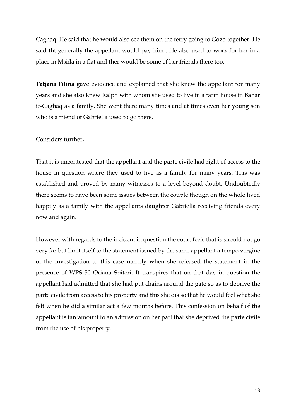Caghaq. He said that he would also see them on the ferry going to Gozo together. He said tht generally the appellant would pay him . He also used to work for her in a place in Msida in a flat and ther would be some of her friends there too.

**Tatjana Filina** gave evidence and explained that she knew the appellant for many years and she also knew Ralph with whom she used to live in a farm house in Bahar ic-Caghaq as a family. She went there many times and at times even her young son who is a friend of Gabriella used to go there.

Considers further,

That it is uncontested that the appellant and the parte civile had right of access to the house in question where they used to live as a family for many years. This was established and proved by many witnesses to a level beyond doubt. Undoubtedly there seems to have been some issues between the couple though on the whole lived happily as a family with the appellants daughter Gabriella receiving friends every now and again.

However with regards to the incident in question the court feels that is should not go very far but limit itself to the statement issued by the same appellant a tempo vergine of the investigation to this case namely when she released the statement in the presence of WPS 50 Oriana Spiteri. It transpires that on that day in question the appellant had admitted that she had put chains around the gate so as to deprive the parte civile from access to his property and this she dis so that he would feel what she felt when he did a similar act a few months before. This confession on behalf of the appellant is tantamount to an admission on her part that she deprived the parte civile from the use of his property.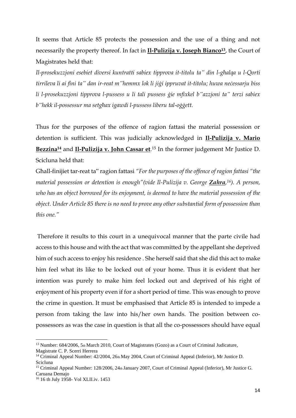It seems that Article 85 protects the possession and the use of a thing and not necessarily the property thereof. In fact in **Il-Pulizija v. Joseph Bianco<sup>13</sup>**, the Court of Magistrates held that:

*Il-prosekuzzjoni esebiet diversi kuntratti sabiex tipprova it-titolu ta" din l-għalqa u l-Qorti tirrileva li ai fini ta" dan ir-reat m"hemmx lok li jiġi ippruvat it-titolu; huwa neċessarju biss li l-prosekuzzjoni tipprova l-pussess u li tali pussess ġie mfixkel b"azzjoni ta" terzi sabiex b"hekk il-possessur ma setgħax igawdi l-pussess liberu tal-oġġett.*

Thus for the purposes of the offence of ragion fattasi the material possession or detention is sufficient. This was judicially acknowledged in **Il-Pulizija v. Mario Bezzina<sup>14</sup>** and **Il-Pulizija v. John Cassar et**. <sup>15</sup> In the former judgement Mr Justice D. Scicluna held that:

Għall-finijiet tar-reat ta" ragion fattasi *"For the purposes of the offence of ragion fattasi "the material possession or detention is enough"(vide Il-Pulizija v. George Zahra, <sup>16</sup>). A person, who has an object borrowed for its enjoyment, is deemed to have the material possession of the object. Under Article 85 there is no need to prove any other substantial form of possession than this one."*

Therefore it results to this court in a unequivocal manner that the parte civile had access to this house and with the act that was committed by the appellant she deprived him of such access to enjoy his residence . She herself said that she did this act to make him feel what its like to be locked out of your home. Thus it is evident that her intention was purely to make him feel locked out and deprived of his right of enjoyment of his property even if for a short period of time. This was enough to prove the crime in question. It must be emphasised that Article 85 is intended to impede a person from taking the law into his/her own hands. The position between copossessors as was the case in question is that all the co-possessors should have equal

**.** 

<sup>&</sup>lt;sup>13</sup> Number: 684/2006, 5th March 2010, Court of Magistrates (Gozo) as a Court of Criminal Judicature, Magistrate C. P. Scerri Herrera

<sup>&</sup>lt;sup>14</sup> Criminal Appeal Number: 42/2004, 26th May 2004, Court of Criminal Appeal (Inferior), Mr Justice D. Scicluna

<sup>&</sup>lt;sup>15</sup> Criminal Appeal Number: 128/2006, 24th January 2007, Court of Criminal Appeal (Inferior), Mr Justice G. Caruana Demajo

<sup>16</sup> 16 th July 1958- Vol XLII.iv. 1453